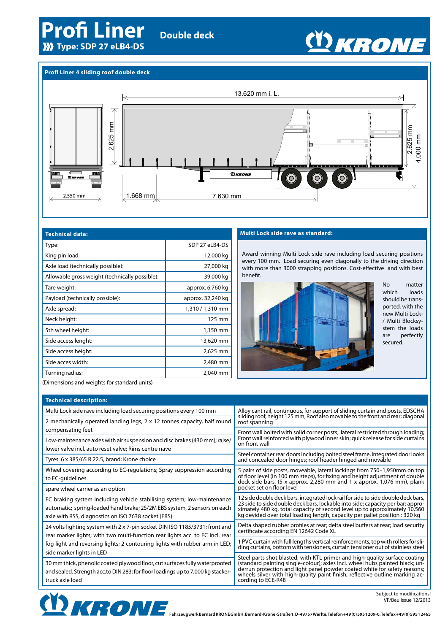**Double deck**

<u>Y KRONE</u>

**Profi Liner 4 sliding roof double deck**

**Profi Liner**

**Type: SDP 27 eLB4-DS**



## **Technical data:**

| Type:                                          | SDP 27 eLB4-DS    |  |
|------------------------------------------------|-------------------|--|
| King pin load:                                 | 12,000 kg         |  |
| Axle load (technically possible):              | 27,000 kg         |  |
| Allowable gross weight (technically possible): | 39,000 kg         |  |
| Tare weight:                                   | approx. 6,760 kg  |  |
| Payload (technically possible):                | approx. 32,240 kg |  |
| Axle spread:                                   | 1,310 / 1,310 mm  |  |
| Neck height:                                   | 125 mm            |  |
| 5th wheel height:                              | 1,150 mm          |  |
| Side access lenght:                            | 13,620 mm         |  |
| Side access height:                            | 2,625 mm          |  |
| Side acces width:                              | 2,480 mm          |  |
| Turning radius:                                | 2,040 mm          |  |
|                                                |                   |  |

## **Multi Lock side rave as standard:**

Award winning Multi Lock side rave including load securing positions every 100 mm. Load securing even diagonally to the driving direction with more than 3000 strapping positions. Cost-effective and with best benefit.



No matter<br>which loads loads should be transported, with the new Multi Lock- / Multi Blocksystem the loads are perfectly secured.

(Dimensions and weights for standard units)

| <b>Technical description:</b>                                                                                                                                                                                                               |                                                                                                                                                                                                                                                                                                                                  |  |
|---------------------------------------------------------------------------------------------------------------------------------------------------------------------------------------------------------------------------------------------|----------------------------------------------------------------------------------------------------------------------------------------------------------------------------------------------------------------------------------------------------------------------------------------------------------------------------------|--|
| Multi Lock side rave including load securing positions every 100 mm                                                                                                                                                                         | Alloy cant rail, continuous, for support of sliding curtain and posts, EDSCHA<br>sliding roof, height 125 mm, Roof also movable to the front and rear; diagonal<br>roof spanning                                                                                                                                                 |  |
| 2 mechanically operated landing legs, 2 x 12 tonnes capacity, half round                                                                                                                                                                    |                                                                                                                                                                                                                                                                                                                                  |  |
| compensating feet                                                                                                                                                                                                                           | Front wall bolted with solid corner posts; lateral restricted through loading;<br>Front wall reinforced with plywood inner skin; quick release for side curtains<br>on front wall                                                                                                                                                |  |
| Low-maintenance axles with air suspension and disc brakes (430 mm); raise/<br>lower valve incl. auto reset valve; Rims centre nave                                                                                                          |                                                                                                                                                                                                                                                                                                                                  |  |
| Tyres: 6 x 385/65 R 22.5, brand: Krone choice                                                                                                                                                                                               | Steel container rear doors including bolted steel frame, integrated door looks<br>and concealed door hinges; roof header hinged and movable                                                                                                                                                                                      |  |
| Wheel covering according to EC-regulations; Spray suppression according<br>to EC-quidelines                                                                                                                                                 | 5 pairs of side posts, moveable, lateral lockings from 750–1,950mm on top<br>of floor level (in 100 mm steps), for fixing and height adjustment of double<br>deck side bars, (5 x approx. 2,280 mm and 1 x approx. 1,076 mm), plank                                                                                              |  |
| spare wheel carrier as an option                                                                                                                                                                                                            | pocket set on floor level                                                                                                                                                                                                                                                                                                        |  |
| EC braking system including vehicle stabilising system; low-maintenance<br>automatic; spring-loaded hand brake; 2S/2M EBS system, 2 sensors on each<br>axle with RSS, diagnostics on ISO 7638 socket (EBS)                                  | 12 side double deck bars, integrated lock rail for side to side double deck bars,<br>23 side to side double deck bars, lockable into side; capacity per bar: appro-<br>ximately 480 kg, total capacity of second level up to approximately 10,560<br>kg devided over total loading length, capacity per pallet position : 320 kg |  |
| 24 volts lighting system with 2 x 7-pin socket DIN ISO 1185/3731; front and<br>rear marker lights; with two multi-function rear lights acc. to EC incl. rear<br>fog light and reversing lights; 2 contouring lights with rubber arm in LED; | Delta shaped rubber profiles at rear; delta steel buffers at rear; load security<br>certificate according EN 12642 Code XL                                                                                                                                                                                                       |  |
|                                                                                                                                                                                                                                             | 1 PVC curtain with full lengths vertical reinforcements, top with rollers for sli-<br>ding curtains, bottom with tensioners, curtain tensioner out of stainless steel                                                                                                                                                            |  |
| side marker lights in LED                                                                                                                                                                                                                   | Steel parts shot blasted, with KTL primer and high-quality surface coating                                                                                                                                                                                                                                                       |  |
| 30 mm thick, phenolic coated plywood floor, cut surfaces fully waterproofed<br>and sealed. Strength acc.to DIN 283; for floor loadings up to 7,000 kg stacker-<br>truck axle load                                                           | (standard painting single-colour); axles incl. wheel hubs painted black; un-<br>derrun protection and light panel powder coated white for safety reasons;<br>wheels silver with high-quality paint finish; reflective outline marking ac-<br>cording to ECE-R48                                                                  |  |



**Fahrzeugwerk Bernard KRONE GmbH, Bernard-Krone-Straße 1, D-49757 Werlte, Telefon +49 (0) 5951 209-0, Telefax +49 (0) 5951 2465**